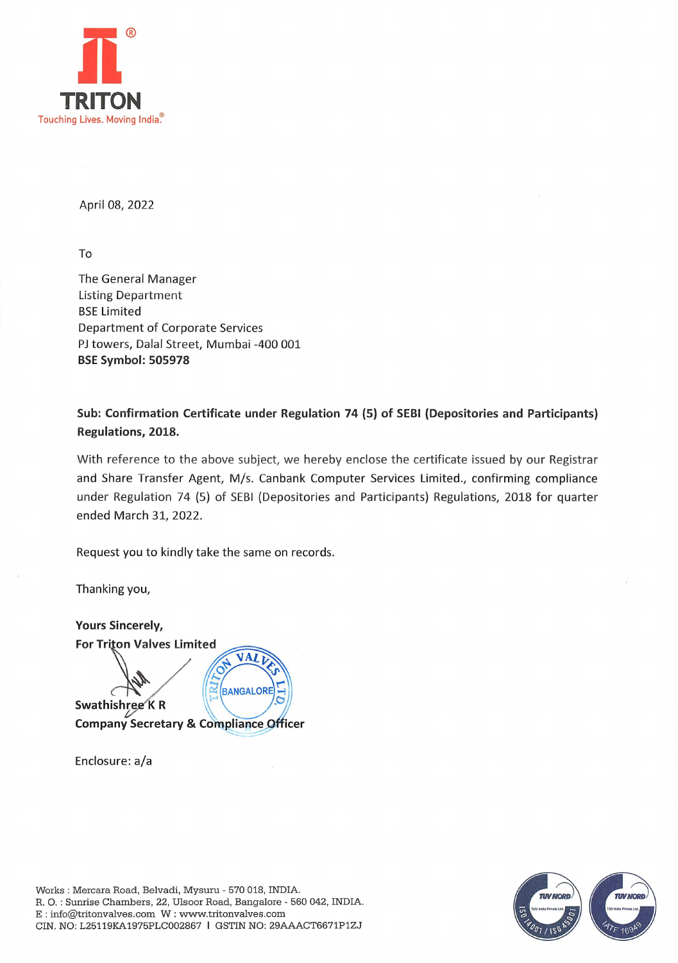

April 08, 2022

To

The General Manager Listing Department BSE Limited Department of Corporate Services PJ towers, Dalal Street, Mumbai -400 001 BSE Symbol: 505978

Sub: Confirmation Certificate under Regulation 74 (5) of SEBI (Depositories and Participants) Regulations, 2018.

With reference to the above subject, we hereby enclose the certificate issued by our Registrar and Share Transfer Agent, M/s. Canbank Computer Services Limited., confirming compliance under Regulation 74 (5) of SEBI (Depositories and Participants) Regulations, 2018 for quarter ended March 31, 2022.

Request you to kindly take the same on records.

Thanking you,

Yours Sincerely, For Triton Valves Limited VALT  $\Omega$ BANGALORE Swathishree KR **Company Secretary & Compliance Officer** 

Enclosure: a/a